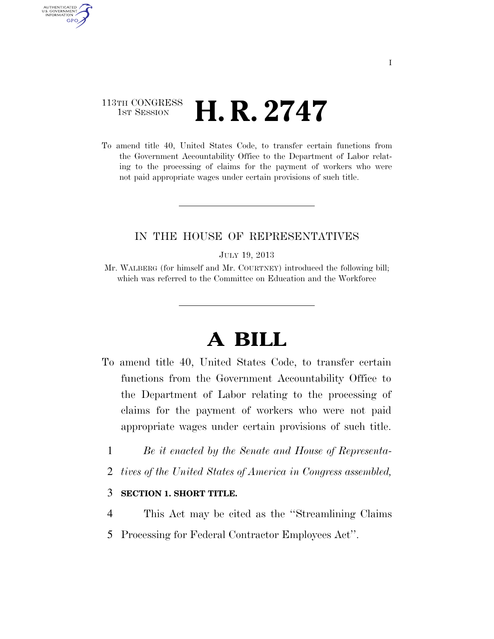### 113TH CONGRESS  $\frac{1}{15T}$  Session **H. R. 2747**

AUTHENTICATED U.S. GOVERNMENT **GPO** 

> To amend title 40, United States Code, to transfer certain functions from the Government Accountability Office to the Department of Labor relating to the processing of claims for the payment of workers who were not paid appropriate wages under certain provisions of such title.

### IN THE HOUSE OF REPRESENTATIVES

#### JULY 19, 2013

# **A BILL**

- To amend title 40, United States Code, to transfer certain functions from the Government Accountability Office to the Department of Labor relating to the processing of claims for the payment of workers who were not paid appropriate wages under certain provisions of such title.
	- 1 *Be it enacted by the Senate and House of Representa-*
	- 2 *tives of the United States of America in Congress assembled,*

### 3 **SECTION 1. SHORT TITLE.**

- 4 This Act may be cited as the ''Streamlining Claims
- 5 Processing for Federal Contractor Employees Act''.

Mr. WALBERG (for himself and Mr. COURTNEY) introduced the following bill; which was referred to the Committee on Education and the Workforce